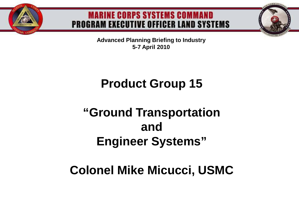

#### **MARINE CORPS SYSTEMS COMMAND PROGRAM EXECUTIVE OFFICER LAND SYSTEMS**

**Advanced Planning Briefing to Industry 5-7 April 2010**

## **Product Group 15**

## **"Ground Transportation and Engineer Systems"**

### **Colonel Mike Micucci, USMC**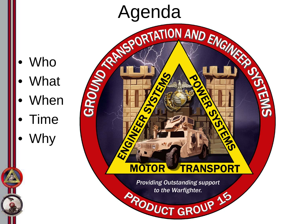- Agenda<br>Agentation AND ENGINEER<br>BOOK AND STATION AND ENGINEER **ENS** ENGINE EN-**MOTOR TRANSPORT Providing Outstanding support** to the Warfighter. **PRODUCT GROUP 15**
- **Who**
- **What**
- **When**
- Time
- Why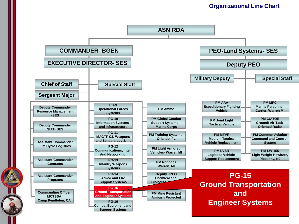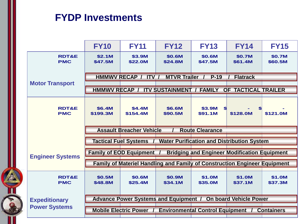#### **FYDP Investments**

|  |                                              | <b>FY10</b>                                                                                 | <b>FY11</b>                                                               | <b>FY12</b>       | <b>FY13</b>                                         | <b>FY14</b>         | <b>FY15</b>       |
|--|----------------------------------------------|---------------------------------------------------------------------------------------------|---------------------------------------------------------------------------|-------------------|-----------------------------------------------------|---------------------|-------------------|
|  | <b>RDT&amp;E</b><br><b>PMC</b>               | \$2.1M<br>\$47.5M                                                                           | \$3.9M<br>\$22.0M                                                         | \$0.6M<br>\$24.8M | \$0.6M<br>\$47.5M                                   | \$0.7M<br>\$61.4M   | \$0.7M<br>\$60.5M |
|  | <b>Motor Transport</b>                       | HMMWV RECAP / ITV /<br><b>MTVR Trailer</b><br>$P-19$<br><b>Flatrack</b>                     |                                                                           |                   |                                                     |                     |                   |
|  |                                              |                                                                                             |                                                                           |                   |                                                     |                     |                   |
|  |                                              |                                                                                             | HMMWV RECAP / ITV SUSTAINMENT / FAMILY                                    |                   |                                                     | OF TACTICAL TRAILER |                   |
|  | <b>RDT&amp;E</b><br><b>PMC</b>               | \$6.4M<br>\$199.3M                                                                          | \$4.4M<br>\$154.4M                                                        | \$6.6M<br>\$90.5M | \$3.9M<br>\$91.1M                                   | \$128.0M            | \$121.0M          |
|  |                                              | <b>Assault Breacher Vehicle</b><br><b>Route Clearance</b>                                   |                                                                           |                   |                                                     |                     |                   |
|  |                                              | <b>Tactical Fuel Systems</b><br><b>Water Purification and Distribution System</b>           |                                                                           |                   |                                                     |                     |                   |
|  | <b>Engineer Systems</b>                      |                                                                                             | <b>Family of EOD Equipment</b>                                            |                   | <b>Bridging and Engineer Modification Equipment</b> |                     |                   |
|  |                                              |                                                                                             | Family of Materiel Handling and Family of Construction Engineer Equipment |                   |                                                     |                     |                   |
|  | <b>RDT&amp;E</b><br><b>PMC</b>               | \$0.5M<br>\$48.8M                                                                           | \$0.6M<br>\$25.4M                                                         | \$0.9M<br>\$34.1M | \$1.0M<br>\$35.0M                                   | \$1.0M<br>\$37.1M   | \$1.0M<br>\$37.3M |
|  | <b>Expeditionary</b><br><b>Power Systems</b> | <b>On board Vehicle Power</b><br><b>Advance Power Systems and Equipment /</b>               |                                                                           |                   |                                                     |                     |                   |
|  |                                              |                                                                                             |                                                                           |                   |                                                     |                     |                   |
|  |                                              | <b>Mobile Electric Power</b><br><b>Environmental Control Equipment</b><br><b>Containers</b> |                                                                           |                   |                                                     |                     |                   |
|  |                                              |                                                                                             |                                                                           |                   |                                                     |                     |                   |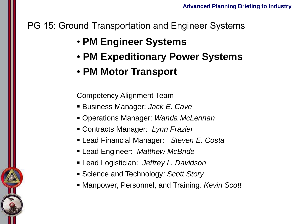#### PG 15: Ground Transportation and Engineer Systems

- **PM Engineer Systems**
- **PM Expeditionary Power Systems**
- **PM Motor Transport**

#### **Competency Alignment Team**

- Business Manager: *Jack E. Cave*
- Operations Manager: *Wanda McLennan*
- Contracts Manager: *Lynn Frazier*
- Lead Financial Manager: *Steven E. Costa*
- Lead Engineer: *Matthew McBride*
- Lead Logistician: *Jeffrey L. Davidson*
- Science and Technology*: Scott Story*
- Manpower, Personnel, and Training*: Kevin Scott*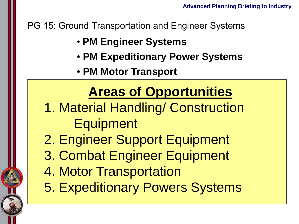PG 15: Ground Transportation and Engineer Systems

- **PM Engineer Systems**
- **PM Expeditionary Power Systems**
- **PM Motor Transport**

## **Areas of Opportunities**

- 1. Material Handling/ Construction Contracts Manager: *Lynn Frazier* Lead Financial Manager: *Steven E. Costa* Equipment
- 2. Engineer Support Equipment
- Lead Logistician: *Jeffrey L. Davidson* Science and Technology*: Scott Story* 3. Combat Engineer Equipment
- 4. Motor Transportation
- 5. Expeditionary Powers Systems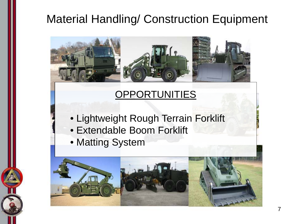### **Material Handling/ Construction Equipment**



- Lightweight Rough Terrain Forklift
- Extendable Boom Forklift
- Matting System

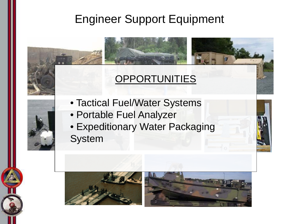#### Engineer Support Equipment

- Tactical Fuel/Water Systems
- Portable Fuel Analyzer
- Expeditionary Water Packaging System

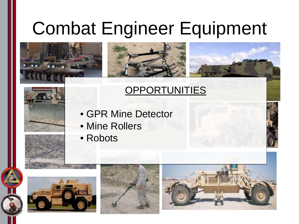## Combat Engineer Equipment



- GPR Mine Detector
- Mine Rollers
- Robots





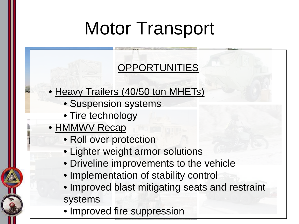# Motor Transport

### **OPPORTUNITIES**

#### • Heavy Trailers (40/50 ton MHETs)

- Suspension systems
- Tire technology
- HMMWV Recap
	- Roll over protection
	- Lighter weight armor solutions
	- Driveline improvements to the vehicle
	- Implementation of stability control
	- Improved blast mitigating seats and restraint systems
	- Improved fire suppression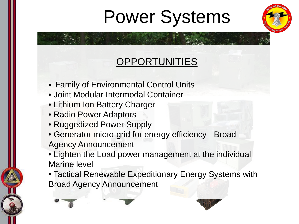# Power Systems



- Family of Environmental Control Units
- Joint Modular Intermodal Container
- Lithium Ion Battery Charger
- Radio Power Adaptors
- Ruggedized Power Supply
- Generator micro-grid for energy efficiency Broad Agency Announcement
- Lighten the Load power management at the individual Marine level
- Tactical Renewable Expeditionary Energy Systems with Broad Agency Announcement